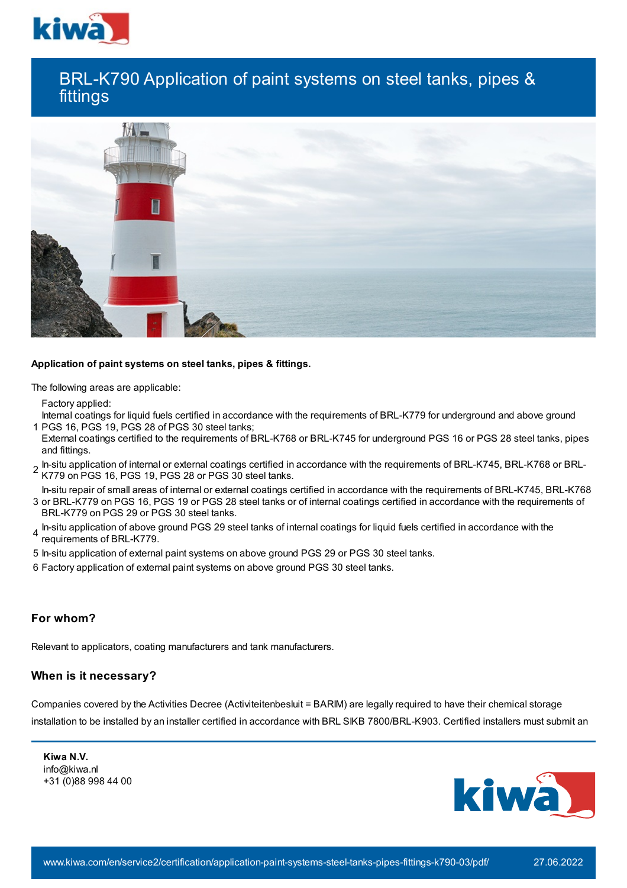

# BRL-K790 Application of paint systems on steel tanks, pipes & fittings



#### **Application of paint systems on steel tanks, pipes & fittings.**

The following areas are applicable:

Factory applied:

1 PGS 16, PGS 19, PGS 28 of PGS 30 steel tanks; Internal coatings for liquid fuels certified in accordance with the requirements of BRL-K779 for underground and above ground

- External coatings certified to the requirements of BRL-K768 or BRL-K745 for underground PGS 16 or PGS 28 steel tanks, pipes and fittings.
- 2 In-situ application of internal or external coatings certified in accordance with the requirements of BRL-K745, BRL-K768 or BRL-K779 on PGS 16, PGS 19, PGS 28 or PGS 30 steel tanks.

3 or BRL-K779 on PGS 16, PGS 19 or PGS 28 steel tanks or of internal coatings certified in accordance with the requirements of In-situ repair of small areas of internal or external coatings certified in accordance with the requirements of BRL-K745, BRL-K768

- BRL-K779 on PGS 29 or PGS 30 steel tanks.
- 4 In-situ application of above ground PGS 29 steel tanks of internal coatings for liquid fuels certified in accordance with the<br>4 requirements of PDL K770 requirements of BRL-K779.
- 5 In-situ application of external paint systems on above ground PGS 29 or PGS 30 steel tanks.
- 6 Factory application of external paint systems on above ground PGS 30 steel tanks.

## **For whom?**

Relevant to applicators, coating manufacturers and tank manufacturers.

## **When is it necessary?**

Companies covered by the Activities Decree (Activiteitenbesluit = BARIM) are legally required to have their chemical storage installation to be installed by an installer certified in accordance with BRL SIKB 7800/BRL-K903. Certified installers must submit an

**Kiwa N.V.** info@kiwa.nl +31 (0)88 998 44 00